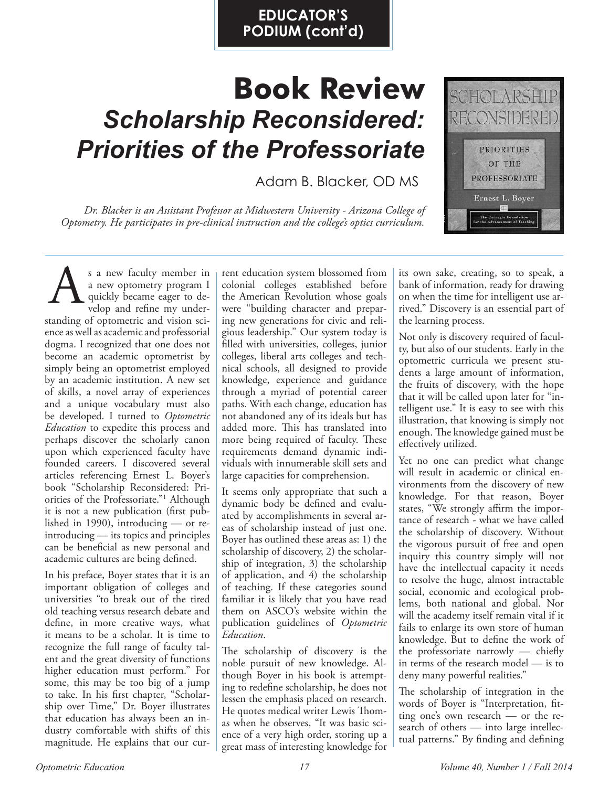## **EDUCATOR'S PODIUM (cont'd)**

## **Book Review** *Scholarship Reconsidered: Priorities of the Professoriate*

Adam B. Blacker, OD MS

*Dr. Blacker is an Assistant Professor at Midwestern University - Arizona College of Optometry. He participates in pre-clinical instruction and the college's optics curriculum.*



s a new faculty member in a new optometry program I quickly became eager to develop and refine my understanding of optometric and vision science as well as academic and professorial dogma. I recognized that one does not become an academic optometrist by simply being an optometrist employed by an academic institution. A new set of skills, a novel array of experiences and a unique vocabulary must also be developed. I turned to *Optometric Education* to expedite this process and perhaps discover the scholarly canon upon which experienced faculty have founded careers. I discovered several articles referencing Ernest L. Boyer's book "Scholarship Reconsidered: Priorities of the Professoriate."1 Although it is not a new publication (first published in 1990), introducing — or reintroducing — its topics and principles can be beneficial as new personal and academic cultures are being defined. Solution a new faculty member in the ducation system blossomed from<br>a new optometry program I colonial colleges established before<br>quickly became eager to de-<br>were "building character and prepar-

In his preface, Boyer states that it is an important obligation of colleges and universities "to break out of the tired old teaching versus research debate and define, in more creative ways, what it means to be a scholar. It is time to recognize the full range of faculty talent and the great diversity of functions higher education must perform." For some, this may be too big of a jump to take. In his first chapter, "Scholarship over Time," Dr. Boyer illustrates that education has always been an industry comfortable with shifts of this magnitude. He explains that our curcolonial colleges established before the American Revolution whose goals were "building character and preparing new generations for civic and religious leadership." Our system today is filled with universities, colleges, junior colleges, liberal arts colleges and technical schools, all designed to provide knowledge, experience and guidance through a myriad of potential career paths. With each change, education has not abandoned any of its ideals but has added more. This has translated into more being required of faculty. These requirements demand dynamic individuals with innumerable skill sets and large capacities for comprehension.

It seems only appropriate that such a dynamic body be defined and evaluated by accomplishments in several areas of scholarship instead of just one. Boyer has outlined these areas as: 1) the scholarship of discovery, 2) the scholarship of integration, 3) the scholarship of application, and 4) the scholarship of teaching. If these categories sound familiar it is likely that you have read them on ASCO's website within the publication guidelines of *Optometric Education*.

The scholarship of discovery is the noble pursuit of new knowledge. Although Boyer in his book is attempting to redefine scholarship, he does not lessen the emphasis placed on research. He quotes medical writer Lewis Thomas when he observes, "It was basic science of a very high order, storing up a great mass of interesting knowledge for

its own sake, creating, so to speak, a bank of information, ready for drawing on when the time for intelligent use arrived." Discovery is an essential part of the learning process.

Not only is discovery required of faculty, but also of our students. Early in the optometric curricula we present students a large amount of information, the fruits of discovery, with the hope that it will be called upon later for "intelligent use." It is easy to see with this illustration, that knowing is simply not enough. The knowledge gained must be effectively utilized.

Yet no one can predict what change will result in academic or clinical environments from the discovery of new knowledge. For that reason, Boyer states, "We strongly affirm the importance of research - what we have called the scholarship of discovery. Without the vigorous pursuit of free and open inquiry this country simply will not have the intellectual capacity it needs to resolve the huge, almost intractable social, economic and ecological problems, both national and global. Nor will the academy itself remain vital if it fails to enlarge its own store of human knowledge. But to define the work of the professoriate narrowly — chiefly in terms of the research model — is to deny many powerful realities."

The scholarship of integration in the words of Boyer is "Interpretation, fitting one's own research — or the research of others — into large intellectual patterns." By finding and defining